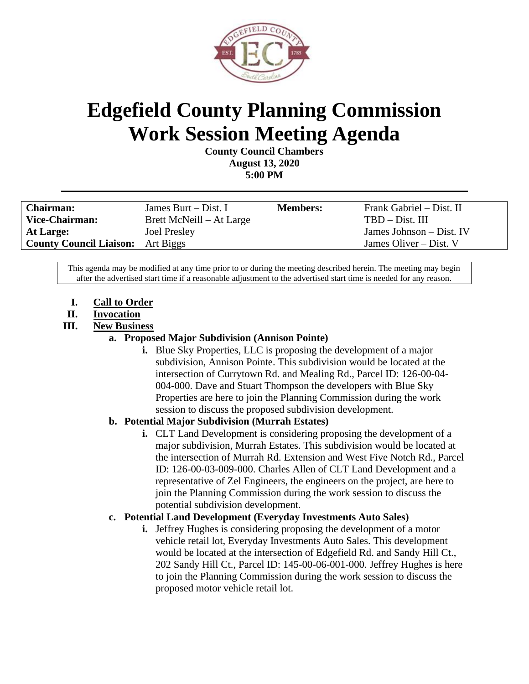

# **Edgefield County Planning Commission Work Session Meeting Agenda**

**County Council Chambers August 13, 2020 5:00 PM**

| <b>Chairman:</b>                         | James Burt $-$ Dist. I   | <b>Members:</b> | Frank Gabriel – Dist. II |
|------------------------------------------|--------------------------|-----------------|--------------------------|
| Vice-Chairman:                           | Brett McNeill – At Large |                 | $TBD - Dist. III$        |
| At Large:                                | <b>Joel Presley</b>      |                 | James Johnson – Dist. IV |
| <b>County Council Liaison:</b> Art Biggs |                          |                 | James Oliver $-$ Dist. V |

This agenda may be modified at any time prior to or during the meeting described herein. The meeting may begin after the advertised start time if a reasonable adjustment to the advertised start time is needed for any reason.

- **I. Call to Order**
- **II. Invocation**
- **III. New Business**

#### **a. Proposed Major Subdivision (Annison Pointe)**

**i.** Blue Sky Properties, LLC is proposing the development of a major subdivision, Annison Pointe. This subdivision would be located at the intersection of Currytown Rd. and Mealing Rd., Parcel ID: 126-00-04- 004-000. Dave and Stuart Thompson the developers with Blue Sky Properties are here to join the Planning Commission during the work session to discuss the proposed subdivision development.

## **b. Potential Major Subdivision (Murrah Estates)**

**i.** CLT Land Development is considering proposing the development of a major subdivision, Murrah Estates. This subdivision would be located at the intersection of Murrah Rd. Extension and West Five Notch Rd., Parcel ID: 126-00-03-009-000. Charles Allen of CLT Land Development and a representative of Zel Engineers, the engineers on the project, are here to join the Planning Commission during the work session to discuss the potential subdivision development.

## **c. Potential Land Development (Everyday Investments Auto Sales)**

**i.** Jeffrey Hughes is considering proposing the development of a motor vehicle retail lot, Everyday Investments Auto Sales. This development would be located at the intersection of Edgefield Rd. and Sandy Hill Ct., 202 Sandy Hill Ct., Parcel ID: 145-00-06-001-000. Jeffrey Hughes is here to join the Planning Commission during the work session to discuss the proposed motor vehicle retail lot.